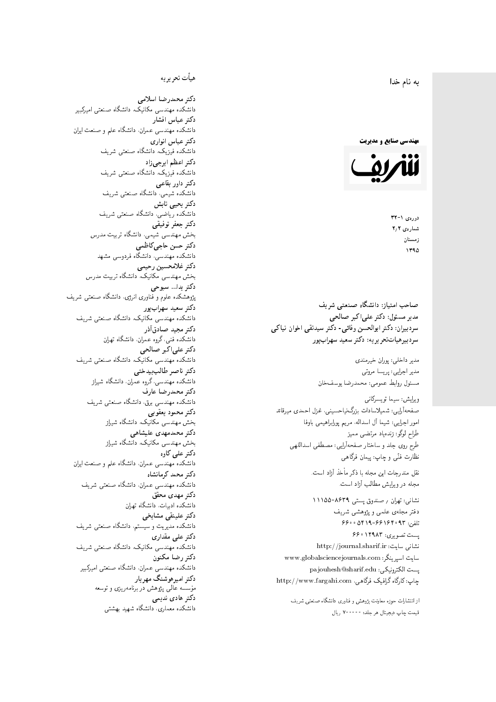$\overline{\phantom{a}}$ ز<br>ن به نام خدا .<br>.

**مهندسی صنایع و مدیریت** 



دورەي ١-٣٢ شمارەي ٢٫٢ زمستان 1790

مدیر مسئول: دکتر علیاکبر صالحی  $\mathfrak{c}$ سردبیران: دکتر ابوالحسن وفائی- دکتر سیدنقی اخوان نیاکی سردېيرهياتتحر يريه: دکتر سعيد سهرابپور

> مدير داخلى: پوران خيرمندى<br>. مدير اجرايي: پريسا مروتي<br>. مسئول روابط عمومی: محمدرضا يوسفخان<br>.

ويرايش: سيما تويسركان<sub>ى</sub><br>مىسى<sup>تى</sup>ل : شمیلاسادات بزرگ:یاحسینی، غزل احمدی میرقائد<br>مسلسله امور اجرایی: شیما آل اسداله، مریم پورابراهیمی باوفا طراح لوگو: زندهیاد مرتضمی ممیز<br>ا طرح روی جلد و ساختار صفحهآرایی: مصطفی اسداللهی<br>پیللمستقب نظارت فٽ<sub>ی</sub> و چاپ: پيمان فرگاه<sub>ی</sub><br>.

نقل مندرجات این مجله با ذکر مأخذ آزاد است.<br>مجله در ویرایش مطالب آزاد است.

نشانی: تهران / ۸۶۳۹–۱۱۱۵۵ دفتر مجلهى علمى و پژوهشى شريف 56000194196969 + 196000 ست تصویری: ۱۲۹۸۳ ۶۶۰ نشانی سایت: http://journal.sharif.ir<br>ء سایت اسپرینگر: www.globalsciencejournals.com<br>افکار کافی کے مطابق کافیل کے مطابق کافیل کے مطابق کافیل کے مطابق کافیل کرنا pajouhesh@sharif.edu :يست الكترونيكي http://www.fargahi.com ،ياب: كارگاه گرافيک فرگاهي صاحب امتياز: دانشگاه صنعتى شريف<br>مدير مسئول: دكتر على اكبر صالحى<br>مدير مسئول: دكتر على اكبر صالحى<br>سردبيران: دكتر ابوالحسن وفاقى- دكتر سه<br>سردبيران: دكتر ابوالحسن وفاقى- دكتر سه<br>مدير اجلي : سيما تريسكان وبين الحسن وفاقى<br>صنعت

از انتشارات حوزه معاونت پژوهش و فناوری دانشگاه صنعتی شریف<br>قیمت جاب دیجیتال هر جلد: ۷۰۰۰۰۰ ریال

### هيأت تحريريه

دكتر محمدرضا اسلامى مکانیک، دانشگاه صنعتی امیرکبیر<br>. دكتر عباس افشار دانشکده مهندسی عمران، دانشگاه علم و صنعت ایران<br>بحمد مصلحات دكتر عباس انوارى دانشکده فیزیک، دانشگاه صنعتبی شریف<br>محمد استانسا دکتر اعظم ايرج<mark>ي</mark> زاد ، دانشگاه صنعتبی شریف<br>. دکتر داور بقاع**ی** دانشکده شیمی، دانشگاه صنعتی شریف<br>دکتر یحیی تابش دانشکده ریاضی، دانشگاه صنعتی شریف<br>برمسمنستانستان دكتر جعفر توفيقي بخش مهندسی شیمی، دانشگاه تربیت مدرس<br>سم دكتر حسن حاجىكاظمي دانشکده مهندسی، دانشگاه فردوسی مشهد<br>کترخان دكتر غلامحسين رحيمي هندسی مکانیک، دانشگاه تربیت مدرس<br>ا دکتر یدا... سبوحی یژوهشکده علوم و فناوری انرژی، دانشگاه صنعتی شریف دکتر سعید سهرابپور<br>دانشکده مهندسی مکانیک، دانشگاه صنعتی شریف دکتر مجيد صادقاذر ا<br>. دانشکده فنی، گروه عمران، دانشگاه تهران دکتر علیاکبر صالحی = دانشکده مهندسی مکانیک، دانشگاه صنعتی شریف<br>یکستا دکتر ناصر طالب بیدختی r  $\mathfrak{c}$ دانشکده مهندسی، گروه عمران، دانشگاه شیراز<br>مکتب مصدر مقبل علم دكتر محمدرضا عارف دانشکده مهندسی برق، دانشگاه صنعتی شریف<br><mark>دکتر محمود یعقوبی</mark> هندسی مکانیک، دانشگاه شیراز<br>مسدوده مصلوفیاه دکتر محمدمهدی علیشاهی بخش مهندسی مکانیک، دانشگاه شیراز<br>مکتبهای کابی دکتر علی کاوہ دانشکده مهندسی عمران، دانشگاه علم و صنعت ایران<br>بحت دکتر محمد کرمانشاه .<br>. دانشکده مهندسی عمران، دانشگاه صنعتی شریف<br>مکتبر دولت مستق دکتر مهد*ی* محقق دانشکده ادبیات، دانشگاه تهران دکتر علینقی مشایخ<u>ی</u> دانشکده مدیریت و سیستم، دانشگاه صنعتبی شریف<br>محمد باست دکتر علی مقداری دانشکده مهندسی مکانیک، دانشگاه صنعتی شریف<br><mark>دکتر رضا مکنون</mark> دانشکده مهندسی عمران. دانشگاه صنعتی امیرکبیر<br>محمد است میگ دکتر امیرهوشنگ مهریار سسه عالمی پژوهش در برنامهریزی و توسعه<br>''' ۱۰۰۰ میلید ءُ<br>ك م<br>. دکتر هادی ندیمی  $\overline{a}$ م تشا<br>يتمكن المسلم المسلم المسلم المسلم المسلم المسلم المسلم المسلم المسلم المسلم المسلم المسلم المسلم المسلم المسلم<br>المسلم المسلم المسلم المسلم المسلم المسلم المسلم المسلم المسلم المسلم المسلم المسلم المسلم المسلم المسلم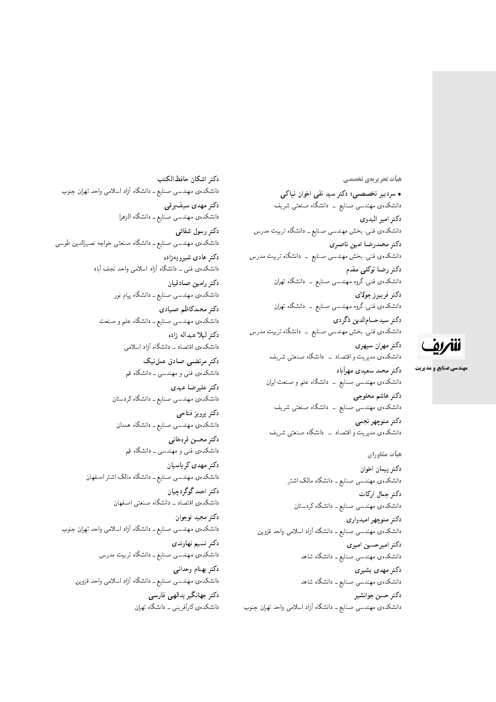#### هیأت تحریریهی تخصصی

• سردبیر تخصصبی: دکتر سید تقی اخوان نیاکی دانشکدهی مهندسی صنایع ــ دانشگاه صنعتی شریف دكتر امير البدوي دانشکدهی فنبی، بخش مهندسی صنایع ــ دانشگاه تربیت مدرس دكتر محمدرضا امين ناصري دانشکدهی فنبی، بخش مهندسی صنایع <mark>– دانشگاه تربیت م</mark>درس دکتر رضا توکلے مقدم دانشکدهی فنبی،گروه مهندسی صنایع ــ دانشگاه تهران دكتر فريبرز جولا*ى* دانشکده،ی فنی،گروه مهندسی صنایع ــ دانشگاه تهران دكتر سيدحسامالدين ذگردي دانشکدهی فنی، بخش مهندسی صنایع \_ دانشگاه تربیت مدرس دكتر مهران سپهري

دانشکدهی مدیریت و اقتصاد \_ دانشگاه صنعتبی شریف دكتر محمد سعيدى مهرأباد دانشکدهی مهندسی صنایع ــ دانشگاه علم و صنعت ایران

دكتر هاشم محلوجي دانشکدهی مهندسی صنایع ــ دانشگاه صنعتی شریف دكتر منوچهر نجمي دانشکدهی مدیریت و اقتصاد \_ دانشگاه صنعتی شریف

#### هيأت مشاوران

دكتر پيمان اخوان دانشکدهی مهندسی صنایع ــ دانشگاه مالک اشتر دكتر جمال اركات دانشکدهی مهندسی صنایع ــ دانشگاه کردستان دكتر منوجهر اميدواري دانشکدهی مهندسی صنایع ــ دانشگاه آزاد اسلامی واحد قزوین دكتر اميرحسين اميري دانشکدهی مهندسی صنایع ــ دانشگاه شاهد دكتر مهدى بشيرى دانشکدهی مهندسی صنایع ــ دانشگاه شاهد دكتر حسن جوانشير

دانشکدهی مهندسی صنایع ــ دانشگاه آزاد اسلامی واحد تهران جنوب

دكتر اشكان حافظ الكتب دانشکده یمهندسی صنایع ــ دانشگاه آزاد اسلامی واحد تهران جنوب دکتر مهدی سیفبرقی دانشکدهی مهندسی صنایع ــ دانشگاه الزهرا دكتر رسول شفائى دانشکدهی مهندسی صنایع ــ دانشگاه صنعتی خواجه نصیرالدین طوسی دکتر هادی شیرویهزاده دانشکدهی فنی ـ دانشگاه آزاد اسلامی واحد نجف آباد دكتر رامين صادقيان دانشکده، مهندسی صنایع ــ دانشگاه پیام نور دكتر محمدكاظم صيادى دانشکدهی مهندسی صنایع ــ دانشگاه علم و صنعت دكتر ليلا عبداله زاده دانشکدهی اقتصاد ــ دانشگاه آزاد اسلامی دکتر مرتضبی صادق عمل نیک دانشکدهی فنبی و مهندسی ــ دانشگاه قم دكتر عليرضا عيدى دانشکدهی مهندسی صنایع ـ دانشگاه کردستان دكتر پرويز فتاحي دانشکدهی مهندسی صنایع ــ دانشگاه همدان دكتر محسن قره خانبي دانشکدهی فنبی و مهندسی ــ دانشگاه قم دكتر مهدي كرباسيان دانشکدهی مهندسی صنایع ـ دانشگاه مالک اشتر اصفهان دكتر احمد گوگردچيان دانشکدهی اقتصاد ــ دانشگاه صنعتی اصفهان دكتر مجيد نوجوان دانشکدهی مهندسی صنایع ــ دانشگاه آزاد اسلامی واحد تهران جنوب دكتر نسيم نهاوند*ي* دانشکدهی مهندسی صنایع ــ دانشگاه تربیت مدرس دكتر بهنام وحداني دانشکده ی مهندسی صنایع ــ دانشگاه آزاد اسلامی واحد قزوین دکتر جهانگیر یدالهی فارسی دانشکدهی کارآفرینی ــ دانشگاه تهران

# للمريق

**مهندسی صنایع و مدیریت**